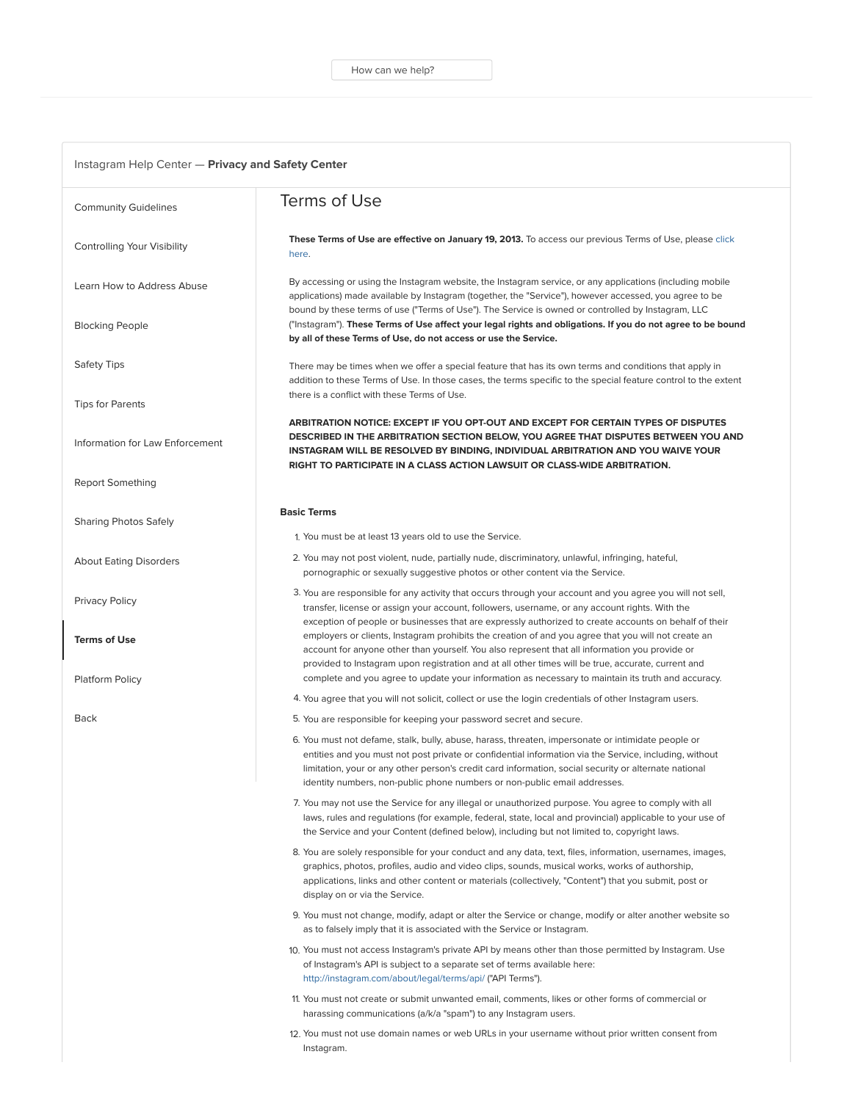| <b>Community Guidelines</b>     | Terms of Use                                                                                                                                                                                                                                                                                                                                                                                       |
|---------------------------------|----------------------------------------------------------------------------------------------------------------------------------------------------------------------------------------------------------------------------------------------------------------------------------------------------------------------------------------------------------------------------------------------------|
| Controlling Your Visibility     | These Terms of Use are effective on January 19, 2013. To access our previous Terms of Use, please click<br>here.                                                                                                                                                                                                                                                                                   |
| Learn How to Address Abuse      | By accessing or using the Instagram website, the Instagram service, or any applications (including mobile<br>applications) made available by Instagram (together, the "Service"), however accessed, you agree to be<br>bound by these terms of use ("Terms of Use"). The Service is owned or controlled by Instagram, LLC                                                                          |
| <b>Blocking People</b>          | ("Instagram"). These Terms of Use affect your legal rights and obligations. If you do not agree to be bound<br>by all of these Terms of Use, do not access or use the Service.                                                                                                                                                                                                                     |
| <b>Safety Tips</b>              | There may be times when we offer a special feature that has its own terms and conditions that apply in<br>addition to these Terms of Use. In those cases, the terms specific to the special feature control to the extent                                                                                                                                                                          |
| <b>Tips for Parents</b>         | there is a conflict with these Terms of Use.                                                                                                                                                                                                                                                                                                                                                       |
| Information for Law Enforcement | ARBITRATION NOTICE: EXCEPT IF YOU OPT-OUT AND EXCEPT FOR CERTAIN TYPES OF DISPUTES<br>DESCRIBED IN THE ARBITRATION SECTION BELOW, YOU AGREE THAT DISPUTES BETWEEN YOU AND<br>INSTAGRAM WILL BE RESOLVED BY BINDING, INDIVIDUAL ARBITRATION AND YOU WAIVE YOUR<br>RIGHT TO PARTICIPATE IN A CLASS ACTION LAWSUIT OR CLASS-WIDE ARBITRATION.                                                         |
| Report Something                |                                                                                                                                                                                                                                                                                                                                                                                                    |
| <b>Sharing Photos Safely</b>    | <b>Basic Terms</b>                                                                                                                                                                                                                                                                                                                                                                                 |
|                                 | 1. You must be at least 13 years old to use the Service.                                                                                                                                                                                                                                                                                                                                           |
| <b>About Eating Disorders</b>   | 2. You may not post violent, nude, partially nude, discriminatory, unlawful, infringing, hateful,<br>pornographic or sexually suggestive photos or other content via the Service.                                                                                                                                                                                                                  |
| Privacy Policy                  | 3. You are responsible for any activity that occurs through your account and you agree you will not sell,<br>transfer, license or assign your account, followers, username, or any account rights. With the<br>exception of people or businesses that are expressly authorized to create accounts on behalf of their                                                                               |
| <b>Terms of Use</b>             | employers or clients, Instagram prohibits the creation of and you agree that you will not create an<br>account for anyone other than yourself. You also represent that all information you provide or<br>provided to Instagram upon registration and at all other times will be true, accurate, current and                                                                                        |
| Platform Policy                 | complete and you agree to update your information as necessary to maintain its truth and accuracy.<br>4. You agree that you will not solicit, collect or use the login credentials of other Instagram users.                                                                                                                                                                                       |
| Back                            | 5. You are responsible for keeping your password secret and secure.                                                                                                                                                                                                                                                                                                                                |
|                                 | 6. You must not defame, stalk, bully, abuse, harass, threaten, impersonate or intimidate people or<br>entities and you must not post private or confidential information via the Service, including, without<br>limitation, your or any other person's credit card information, social security or alternate national<br>identity numbers, non-public phone numbers or non-public email addresses. |
|                                 | 7. You may not use the Service for any illegal or unauthorized purpose. You agree to comply with all<br>laws, rules and regulations (for example, federal, state, local and provincial) applicable to your use of<br>the Service and your Content (defined below), including but not limited to, copyright laws.                                                                                   |
|                                 | 8. You are solely responsible for your conduct and any data, text, files, information, usernames, images,<br>graphics, photos, profiles, audio and video clips, sounds, musical works, works of authorship,<br>applications, links and other content or materials (collectively, "Content") that you submit, post or<br>display on or via the Service.                                             |
|                                 | 9. You must not change, modify, adapt or alter the Service or change, modify or alter another website so<br>as to falsely imply that it is associated with the Service or Instagram.                                                                                                                                                                                                               |
|                                 | 10. You must not access Instagram's private API by means other than those permitted by Instagram. Use<br>of Instagram's API is subject to a separate set of terms available here:<br>http://instagram.com/about/legal/terms/api/ ("API Terms").                                                                                                                                                    |
|                                 | 11. You must not create or submit unwanted email, comments, likes or other forms of commercial or<br>harassing communications (a/k/a "spam") to any Instagram users.                                                                                                                                                                                                                               |
|                                 | 12. You must not use domain names or web URLs in your username without prior written consent from<br>Instagram.                                                                                                                                                                                                                                                                                    |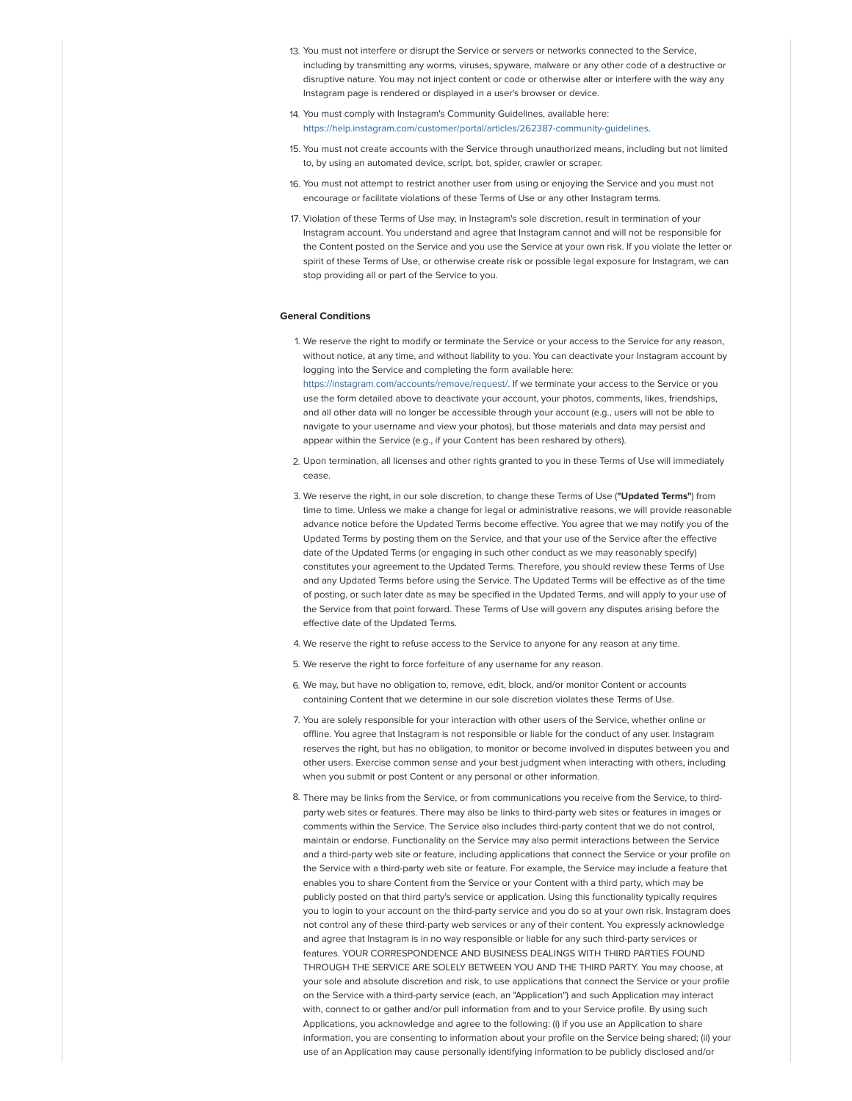- 13. You must not interfere or disrupt the Service or servers or networks connected to the Service, including by transmitting any worms, viruses, spyware, malware or any other code of a destructive or disruptive nature. You may not inject content or code or otherwise alter or interfere with the way any Instagram page is rendered or displayed in a user's browser or device.
- 14. You must comply with Instagram's Community Guidelines, available here: [https://help.instagram.com/customer/portal/articles/262387-community-guidelines](https://l.facebook.com/l.php?u=https%3A%2F%2Fhelp.instagram.com%2Fcustomer%2Fportal%2Farticles%2F262387-community-guidelines&h=ATOKLQbrgKLs8FWaNcX84F_3Cxq7Hy-83xAky57CkHLRbh6xuGFJikK79LHSmtYBWI48SMJfbpYZ6AcwBIt9iGUFHBhMOFPmMwFfApl5t9TNRorAhniMRUqfQvlfmVeGfLJye3pwrxNzJk43&s=1).
- 15. You must not create accounts with the Service through unauthorized means, including but not limited to, by using an automated device, script, bot, spider, crawler or scraper.
- 16. You must not attempt to restrict another user from using or enjoying the Service and you must not encourage or facilitate violations of these Terms of Use or any other Instagram terms.
- 17. Violation of these Terms of Use may, in Instagram's sole discretion, result in termination of your Instagram account. You understand and agree that Instagram cannot and will not be responsible for the Content posted on the Service and you use the Service at your own risk. If you violate the letter or spirit of these Terms of Use, or otherwise create risk or possible legal exposure for Instagram, we can stop providing all or part of the Service to you.

# General Conditions

- 1. We reserve the right to modify or terminate the Service or your access to the Service for any reason, without notice, at any time, and without liability to you. You can deactivate your Instagram account by logging into the Service and completing the form available here: [https://instagram.com/accounts/remove/request/](https://l.facebook.com/l.php?u=https%3A%2F%2Finstagram.com%2Faccounts%2Fremove%2Frequest%2F&h=ATPi9uChnqupaGAZ5YswR1Dyef_3ghcbCiCKn5v3BYy4hAF4UnjJRvOgBSghbsC2CGQIEsp1ZogaC-BPD0efF2cyOQWZ8O7STZ4K3-k3souhBB_p5gj46zl2PhQYJY5_A1uk-l5-BksLzTFA&s=1). If we terminate your access to the Service or you use the form detailed above to deactivate your account, your photos, comments, likes, friendships, and all other data will no longer be accessible through your account (e.g., users will not be able to navigate to your username and view your photos), but those materials and data may persist and appear within the Service (e.g., if your Content has been reshared by others).
- 2. Upon termination, all licenses and other rights granted to you in these Terms of Use will immediately cease.
- 3. We reserve the right, in our sole discretion, to change these Terms of Use ("Updated Terms") from time to time. Unless we make a change for legal or administrative reasons, we will provide reasonable advance notice before the Updated Terms become effective. You agree that we may notify you of the Updated Terms by posting them on the Service, and that your use of the Service after the effective date of the Updated Terms (or engaging in such other conduct as we may reasonably specify) constitutes your agreement to the Updated Terms. Therefore, you should review these Terms of Use and any Updated Terms before using the Service. The Updated Terms will be effective as of the time of posting, or such later date as may be specified in the Updated Terms, and will apply to your use of the Service from that point forward. These Terms of Use will govern any disputes arising before the effective date of the Updated Terms.
- 4. We reserve the right to refuse access to the Service to anyone for any reason at any time.
- 5. We reserve the right to force forfeiture of any username for any reason.
- 6. We may, but have no obligation to, remove, edit, block, and/or monitor Content or accounts containing Content that we determine in our sole discretion violates these Terms of Use.
- 7. You are solely responsible for your interaction with other users of the Service, whether online or offline. You agree that Instagram is not responsible or liable for the conduct of any user. Instagram reserves the right, but has no obligation, to monitor or become involved in disputes between you and other users. Exercise common sense and your best judgment when interacting with others, including when you submit or post Content or any personal or other information.
- 8. There may be links from the Service, or from communications you receive from the Service, to thirdparty web sites or features. There may also be links to third-party web sites or features in images or comments within the Service. The Service also includes third-party content that we do not control, maintain or endorse. Functionality on the Service may also permit interactions between the Service and a third-party web site or feature, including applications that connect the Service or your profile on the Service with a third-party web site or feature. For example, the Service may include a feature that enables you to share Content from the Service or your Content with a third party, which may be publicly posted on that third party's service or application. Using this functionality typically requires you to login to your account on the third-party service and you do so at your own risk. Instagram does not control any of these third-party web services or any of their content. You expressly acknowledge and agree that Instagram is in no way responsible or liable for any such third-party services or features. YOUR CORRESPONDENCE AND BUSINESS DEALINGS WITH THIRD PARTIES FOUND THROUGH THE SERVICE ARE SOLELY BETWEEN YOU AND THE THIRD PARTY. You may choose, at your sole and absolute discretion and risk, to use applications that connect the Service or your profile on the Service with a third-party service (each, an "Application") and such Application may interact with, connect to or gather and/or pull information from and to your Service profile. By using such Applications, you acknowledge and agree to the following: (i) if you use an Application to share information, you are consenting to information about your profile on the Service being shared; (ii) your use of an Application may cause personally identifying information to be publicly disclosed and/or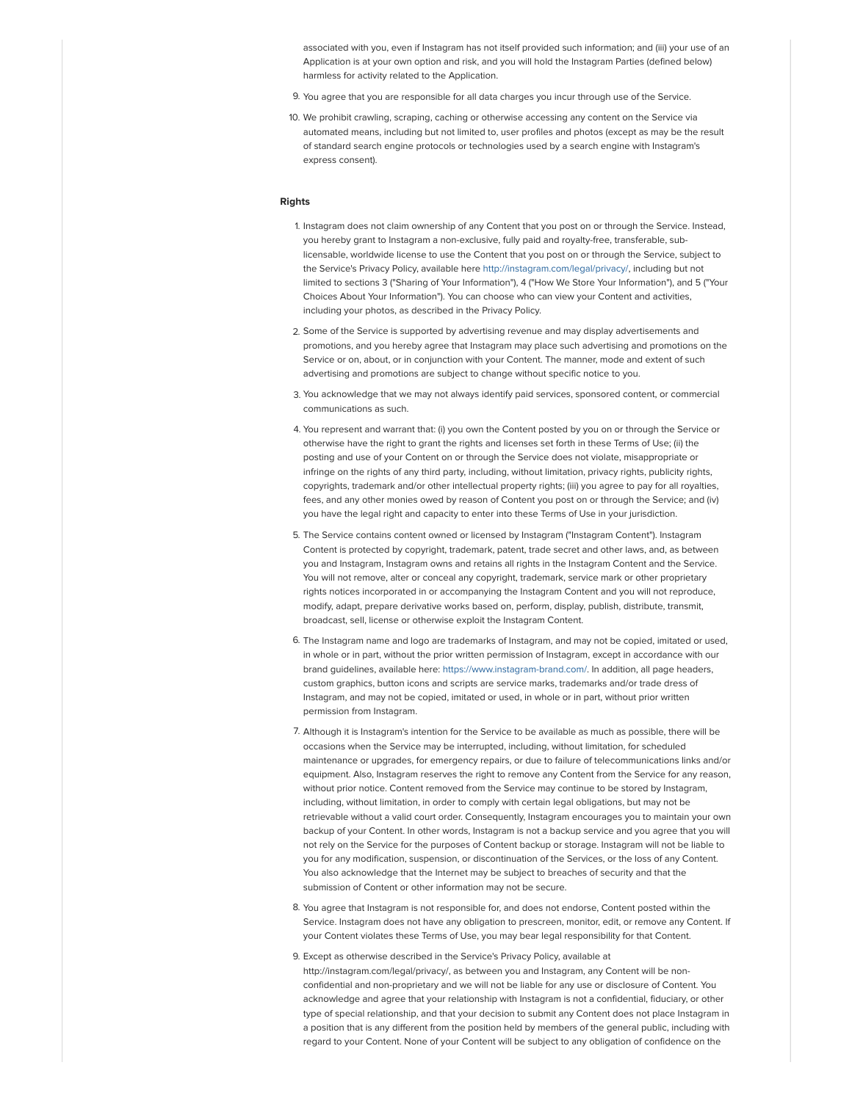associated with you, even if Instagram has not itself provided such information; and (iii) your use of an Application is at your own option and risk, and you will hold the Instagram Parties (defined below) harmless for activity related to the Application.

- 9. You agree that you are responsible for all data charges you incur through use of the Service.
- 10. We prohibit crawling, scraping, caching or otherwise accessing any content on the Service via automated means, including but not limited to, user profiles and photos (except as may be the result of standard search engine protocols or technologies used by a search engine with Instagram's express consent).

#### Rights

- 1. Instagram does not claim ownership of any Content that you post on or through the Service. Instead, you hereby grant to Instagram a non-exclusive, fully paid and royalty-free, transferable, sublicensable, worldwide license to use the Content that you post on or through the Service, subject to the Service's Privacy Policy, available here [http://instagram.com/legal/privacy/,](https://l.facebook.com/l.php?u=http%3A%2F%2Finstagram.com%2Flegal%2Fprivacy%2F&h=ATPXDfxWki9KLZlTScU3yKhQ6Y_fBFB6hUBLoFQGkmarNotFIz5XjUxSp3G2DkeBrC9_MwIl9jqrqo8k1LWu8N3coHrJ4qEBTxAowwfWN6MJKjKRXIrCqrduzl_hIgtngag3Q0ABnAzQQGfS&s=1) including but not limited to sections 3 ("Sharing of Your Information"), 4 ("How We Store Your Information"), and 5 ("Your Choices About Your Information"). You can choose who can view your Content and activities, including your photos, as described in the Privacy Policy.
- 2. Some of the Service is supported by advertising revenue and may display advertisements and promotions, and you hereby agree that Instagram may place such advertising and promotions on the Service or on, about, or in conjunction with your Content. The manner, mode and extent of such advertising and promotions are subject to change without specific notice to you.
- 3. You acknowledge that we may not always identify paid services, sponsored content, or commercial communications as such.
- 4. You represent and warrant that: (i) you own the Content posted by you on or through the Service or otherwise have the right to grant the rights and licenses set forth in these Terms of Use; (ii) the posting and use of your Content on or through the Service does not violate, misappropriate or infringe on the rights of any third party, including, without limitation, privacy rights, publicity rights, copyrights, trademark and/or other intellectual property rights; (iii) you agree to pay for all royalties, fees, and any other monies owed by reason of Content you post on or through the Service; and (iv) you have the legal right and capacity to enter into these Terms of Use in your jurisdiction.
- 5. The Service contains content owned or licensed by Instagram ("Instagram Content"). Instagram Content is protected by copyright, trademark, patent, trade secret and other laws, and, as between you and Instagram, Instagram owns and retains all rights in the Instagram Content and the Service. You will not remove, alter or conceal any copyright, trademark, service mark or other proprietary rights notices incorporated in or accompanying the Instagram Content and you will not reproduce, modify, adapt, prepare derivative works based on, perform, display, publish, distribute, transmit, broadcast, sell, license or otherwise exploit the Instagram Content.
- 6. The Instagram name and logo are trademarks of Instagram, and may not be copied, imitated or used, in whole or in part, without the prior written permission of Instagram, except in accordance with our brand guidelines, available here: [https://www.instagram-brand.com/.](https://l.facebook.com/l.php?u=https%3A%2F%2Fwww.instagram-brand.com%2F&h=ATPJU0tgHMUj0SfkJpRzDnrwHQyqx1prVzDFmgEQMN3b10zJwna1rrLqcmSnkbLkUgj30L1GxDNzKnJV71TxQD-8SNN-0OzWAq8IUWt9NrKFScGXHTMfKl2Q_z-_31AhwArU2doD7BGeOYcH&s=1) In addition, all page headers, custom graphics, button icons and scripts are service marks, trademarks and/or trade dress of Instagram, and may not be copied, imitated or used, in whole or in part, without prior written permission from Instagram.
- 7. Although it is Instagram's intention for the Service to be available as much as possible, there will be occasions when the Service may be interrupted, including, without limitation, for scheduled maintenance or upgrades, for emergency repairs, or due to failure of telecommunications links and/or equipment. Also, Instagram reserves the right to remove any Content from the Service for any reason, without prior notice. Content removed from the Service may continue to be stored by Instagram, including, without limitation, in order to comply with certain legal obligations, but may not be retrievable without a valid court order. Consequently, Instagram encourages you to maintain your own backup of your Content. In other words, Instagram is not a backup service and you agree that you will not rely on the Service for the purposes of Content backup or storage. Instagram will not be liable to you for any modification, suspension, or discontinuation of the Services, or the loss of any Content. You also acknowledge that the Internet may be subject to breaches of security and that the submission of Content or other information may not be secure.
- 8. You agree that Instagram is not responsible for, and does not endorse, Content posted within the Service. Instagram does not have any obligation to prescreen, monitor, edit, or remove any Content. If your Content violates these Terms of Use, you may bear legal responsibility for that Content.
- 9. Except as otherwise described in the Service's Privacy Policy, available at http://instagram.com/legal/privacy/, as between you and Instagram, any Content will be nonconfidential and non-proprietary and we will not be liable for any use or disclosure of Content. You acknowledge and agree that your relationship with Instagram is not a confidential, fiduciary, or other type of special relationship, and that your decision to submit any Content does not place Instagram in a position that is any different from the position held by members of the general public, including with regard to your Content. None of your Content will be subject to any obligation of confidence on the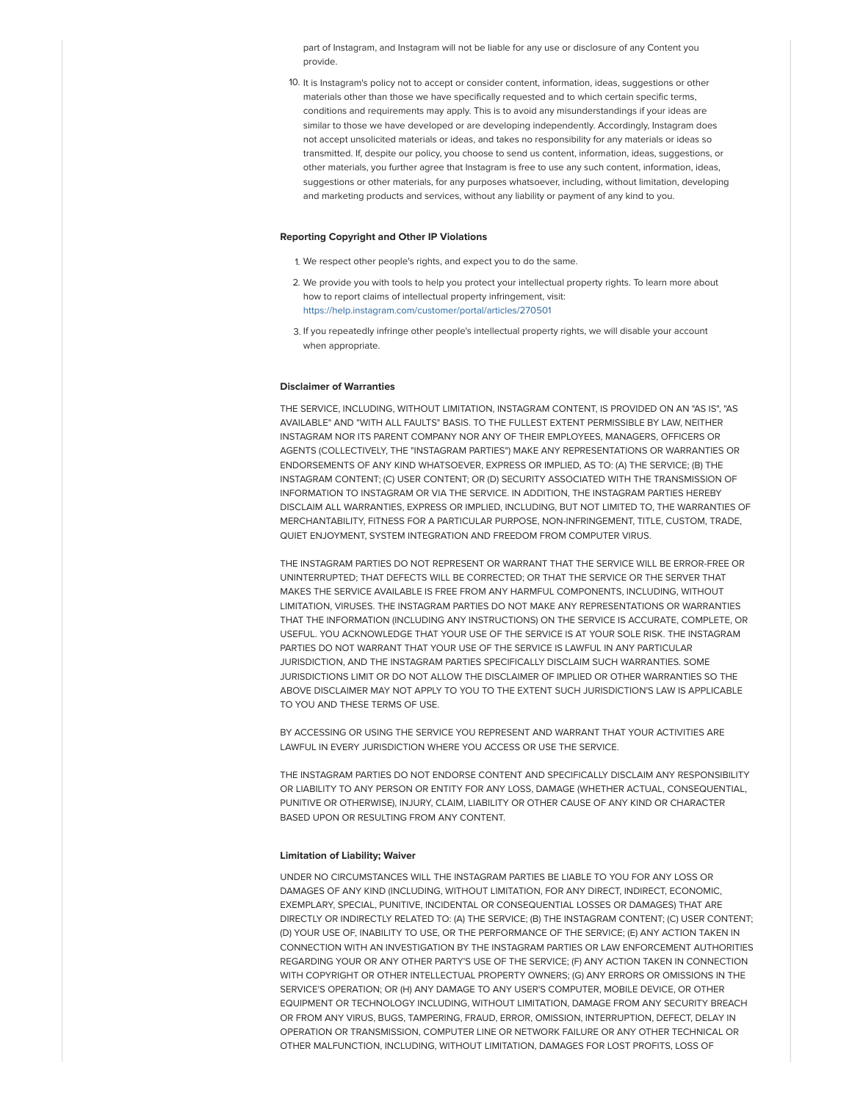part of Instagram, and Instagram will not be liable for any use or disclosure of any Content you provide.

10. It is Instagram's policy not to accept or consider content, information, ideas, suggestions or other materials other than those we have specifically requested and to which certain specific terms, conditions and requirements may apply. This is to avoid any misunderstandings if your ideas are similar to those we have developed or are developing independently. Accordingly, Instagram does not accept unsolicited materials or ideas, and takes no responsibility for any materials or ideas so transmitted. If, despite our policy, you choose to send us content, information, ideas, suggestions, or other materials, you further agree that Instagram is free to use any such content, information, ideas, suggestions or other materials, for any purposes whatsoever, including, without limitation, developing and marketing products and services, without any liability or payment of any kind to you.

### Reporting Copyright and Other IP Violations

1. We respect other people's rights, and expect you to do the same.

- 2. We provide you with tools to help you protect your intellectual property rights. To learn more about how to report claims of intellectual property infringement, visit: [https://help.instagram.com/customer/portal/articles/270501](https://l.facebook.com/l.php?u=https%3A%2F%2Fhelp.instagram.com%2Fcustomer%2Fportal%2Farticles%2F270501&h=ATP_EzVUyUQ7jLkjk39QJCbQr5E4WUuElak3FUeeIeELgj0ZYyQ3E-ovGGXMh4Ax70vUrfvhUV15SS_8_Y5L-G-kq8Jtjp4lgtQVTjWz427LyRvZSZw0gA_GDGk_UJUqZXOvREce8DrDGF34&s=1)
- 3. If you repeatedly infringe other people's intellectual property rights, we will disable your account when appropriate.

## Disclaimer of Warranties

THE SERVICE, INCLUDING, WITHOUT LIMITATION, INSTAGRAM CONTENT, IS PROVIDED ON AN "AS IS", "AS AVAILABLE" AND "WITH ALL FAULTS" BASIS. TO THE FULLEST EXTENT PERMISSIBLE BY LAW, NEITHER INSTAGRAM NOR ITS PARENT COMPANY NOR ANY OF THEIR EMPLOYEES, MANAGERS, OFFICERS OR AGENTS (COLLECTIVELY, THE "INSTAGRAM PARTIES") MAKE ANY REPRESENTATIONS OR WARRANTIES OR ENDORSEMENTS OF ANY KIND WHATSOEVER, EXPRESS OR IMPLIED, AS TO: (A) THE SERVICE; (B) THE INSTAGRAM CONTENT; (C) USER CONTENT; OR (D) SECURITY ASSOCIATED WITH THE TRANSMISSION OF INFORMATION TO INSTAGRAM OR VIA THE SERVICE. IN ADDITION, THE INSTAGRAM PARTIES HEREBY DISCLAIM ALL WARRANTIES, EXPRESS OR IMPLIED, INCLUDING, BUT NOT LIMITED TO, THE WARRANTIES OF MERCHANTABILITY, FITNESS FOR A PARTICULAR PURPOSE, NON-INFRINGEMENT, TITLE, CUSTOM, TRADE, QUIET ENJOYMENT, SYSTEM INTEGRATION AND FREEDOM FROM COMPUTER VIRUS.

THE INSTAGRAM PARTIES DO NOT REPRESENT OR WARRANT THAT THE SERVICE WILL BE ERROR-FREE OR UNINTERRUPTED; THAT DEFECTS WILL BE CORRECTED; OR THAT THE SERVICE OR THE SERVER THAT MAKES THE SERVICE AVAILABLE IS FREE FROM ANY HARMFUL COMPONENTS, INCLUDING, WITHOUT LIMITATION, VIRUSES. THE INSTAGRAM PARTIES DO NOT MAKE ANY REPRESENTATIONS OR WARRANTIES THAT THE INFORMATION (INCLUDING ANY INSTRUCTIONS) ON THE SERVICE IS ACCURATE, COMPLETE, OR USEFUL. YOU ACKNOWLEDGE THAT YOUR USE OF THE SERVICE IS AT YOUR SOLE RISK. THE INSTAGRAM PARTIES DO NOT WARRANT THAT YOUR USE OF THE SERVICE IS LAWEUL IN ANY PARTICULAR JURISDICTION, AND THE INSTAGRAM PARTIES SPECIFICALLY DISCLAIM SUCH WARRANTIES. SOME JURISDICTIONS LIMIT OR DO NOT ALLOW THE DISCLAIMER OF IMPLIED OR OTHER WARRANTIES SO THE ABOVE DISCLAIMER MAY NOT APPLY TO YOU TO THE EXTENT SUCH JURISDICTION'S LAW IS APPLICABLE TO YOU AND THESE TERMS OF USE.

BY ACCESSING OR USING THE SERVICE YOU REPRESENT AND WARRANT THAT YOUR ACTIVITIES ARE LAWFUL IN EVERY JURISDICTION WHERE YOU ACCESS OR USE THE SERVICE.

THE INSTAGRAM PARTIES DO NOT ENDORSE CONTENT AND SPECIFICALLY DISCLAIM ANY RESPONSIBILITY OR LIABILITY TO ANY PERSON OR ENTITY FOR ANY LOSS, DAMAGE (WHETHER ACTUAL, CONSEQUENTIAL, PUNITIVE OR OTHERWISE), INJURY, CLAIM, LIABILITY OR OTHER CAUSE OF ANY KIND OR CHARACTER BASED UPON OR RESULTING FROM ANY CONTENT.

## Limitation of Liability; Waiver

UNDER NO CIRCUMSTANCES WILL THE INSTAGRAM PARTIES BE LIABLE TO YOU FOR ANY LOSS OR DAMAGES OF ANY KIND (INCLUDING, WITHOUT LIMITATION, FOR ANY DIRECT, INDIRECT, ECONOMIC, EXEMPLARY, SPECIAL, PUNITIVE, INCIDENTAL OR CONSEQUENTIAL LOSSES OR DAMAGES) THAT ARE DIRECTLY OR INDIRECTLY RELATED TO: (A) THE SERVICE; (B) THE INSTAGRAM CONTENT; (C) USER CONTENT; (D) YOUR USE OF, INABILITY TO USE, OR THE PERFORMANCE OF THE SERVICE; (E) ANY ACTION TAKEN IN CONNECTION WITH AN INVESTIGATION BY THE INSTAGRAM PARTIES OR LAW ENFORCEMENT AUTHORITIES REGARDING YOUR OR ANY OTHER PARTY'S USE OF THE SERVICE; (F) ANY ACTION TAKEN IN CONNECTION WITH COPYRIGHT OR OTHER INTELLECTUAL PROPERTY OWNERS; (G) ANY ERRORS OR OMISSIONS IN THE SERVICE'S OPERATION; OR (H) ANY DAMAGE TO ANY USER'S COMPUTER, MOBILE DEVICE, OR OTHER EQUIPMENT OR TECHNOLOGY INCLUDING, WITHOUT LIMITATION, DAMAGE FROM ANY SECURITY BREACH OR FROM ANY VIRUS, BUGS, TAMPERING, FRAUD, ERROR, OMISSION, INTERRUPTION, DEFECT, DELAY IN OPERATION OR TRANSMISSION, COMPUTER LINE OR NETWORK FAILURE OR ANY OTHER TECHNICAL OR OTHER MALFUNCTION, INCLUDING, WITHOUT LIMITATION, DAMAGES FOR LOST PROFITS, LOSS OF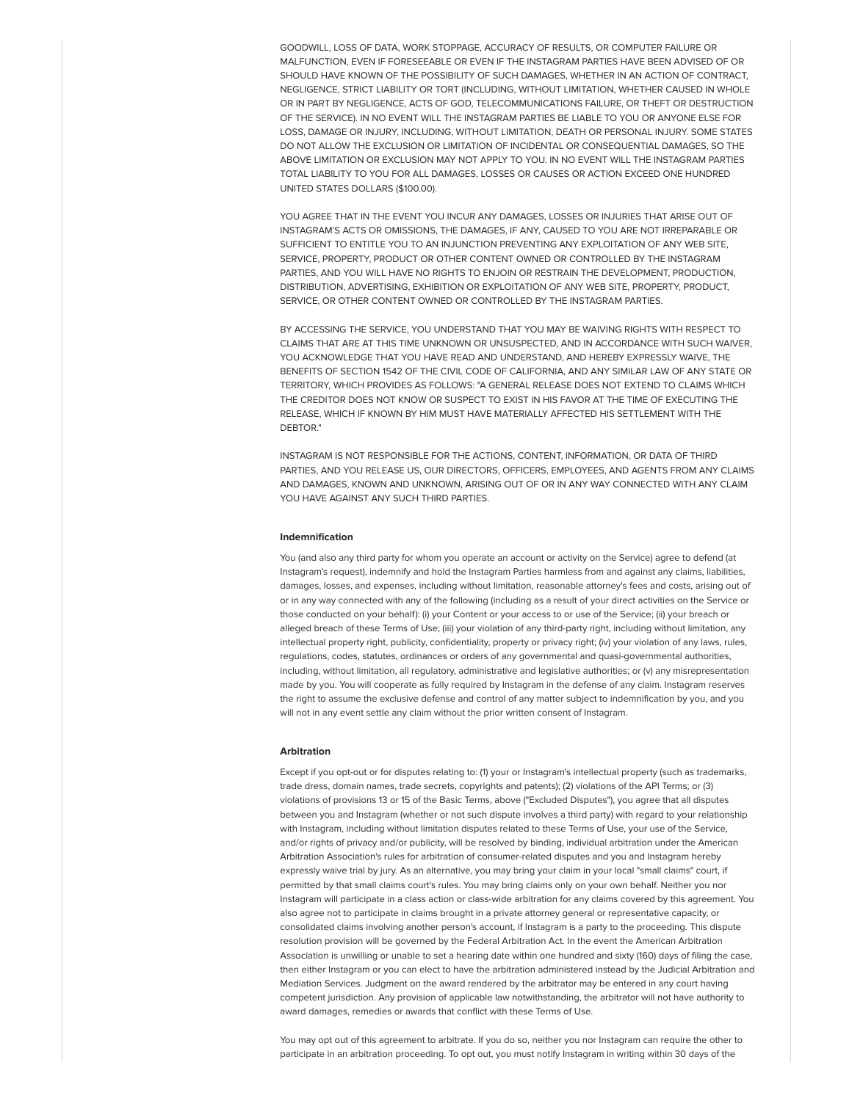GOODWILL, LOSS OF DATA, WORK STOPPAGE, ACCURACY OF RESULTS, OR COMPUTER FAILURE OR MALFUNCTION, EVEN IF FORESEEABLE OR EVEN IF THE INSTAGRAM PARTIES HAVE BEEN ADVISED OF OR SHOULD HAVE KNOWN OF THE POSSIBILITY OF SUCH DAMAGES, WHETHER IN AN ACTION OF CONTRACT, NEGLIGENCE, STRICT LIABILITY OR TORT (INCLUDING, WITHOUT LIMITATION, WHETHER CAUSED IN WHOLE OR IN PART BY NEGLIGENCE, ACTS OF GOD, TELECOMMUNICATIONS FAILURE, OR THEFT OR DESTRUCTION OF THE SERVICE). IN NO EVENT WILL THE INSTAGRAM PARTIES BE LIABLE TO YOU OR ANYONE ELSE FOR LOSS, DAMAGE OR INJURY, INCLUDING, WITHOUT LIMITATION, DEATH OR PERSONAL INJURY. SOME STATES DO NOT ALLOW THE EXCLUSION OR LIMITATION OF INCIDENTAL OR CONSEQUENTIAL DAMAGES, SO THE ABOVE LIMITATION OR EXCLUSION MAY NOT APPLY TO YOU. IN NO EVENT WILL THE INSTAGRAM PARTIES TOTAL LIABILITY TO YOU FOR ALL DAMAGES, LOSSES OR CAUSES OR ACTION EXCEED ONE HUNDRED UNITED STATES DOLLARS (\$100.00).

YOU AGREE THAT IN THE EVENT YOU INCUR ANY DAMAGES, LOSSES OR INJURIES THAT ARISE OUT OF INSTAGRAM'S ACTS OR OMISSIONS, THE DAMAGES, IF ANY, CAUSED TO YOU ARE NOT IRREPARABLE OR SUFFICIENT TO ENTITLE YOU TO AN INJUNCTION PREVENTING ANY EXPLOITATION OF ANY WEB SITE, SERVICE, PROPERTY, PRODUCT OR OTHER CONTENT OWNED OR CONTROLLED BY THE INSTAGRAM PARTIES, AND YOU WILL HAVE NO RIGHTS TO ENJOIN OR RESTRAIN THE DEVELOPMENT, PRODUCTION DISTRIBUTION, ADVERTISING, EXHIBITION OR EXPLOITATION OF ANY WEB SITE, PROPERTY, PRODUCT, SERVICE, OR OTHER CONTENT OWNED OR CONTROLLED BY THE INSTAGRAM PARTIES.

BY ACCESSING THE SERVICE, YOU UNDERSTAND THAT YOU MAY BE WAIVING RIGHTS WITH RESPECT TO CLAIMS THAT ARE AT THIS TIME UNKNOWN OR UNSUSPECTED, AND IN ACCORDANCE WITH SUCH WAIVER, YOU ACKNOWLEDGE THAT YOU HAVE READ AND UNDERSTAND, AND HEREBY EXPRESSLY WAIVE, THE BENEFITS OF SECTION 1542 OF THE CIVIL CODE OF CALIFORNIA, AND ANY SIMILAR LAW OF ANY STATE OR TERRITORY, WHICH PROVIDES AS FOLLOWS: "A GENERAL RELEASE DOES NOT EXTEND TO CLAIMS WHICH THE CREDITOR DOES NOT KNOW OR SUSPECT TO EXIST IN HIS FAVOR AT THE TIME OF EXECUTING THE RELEASE, WHICH IF KNOWN BY HIM MUST HAVE MATERIALLY AFFECTED HIS SETTLEMENT WITH THE DEBTOR."

INSTAGRAM IS NOT RESPONSIBLE FOR THE ACTIONS, CONTENT, INFORMATION, OR DATA OF THIRD PARTIES, AND YOU RELEASE US, OUR DIRECTORS, OFFICERS, EMPLOYEES, AND AGENTS FROM ANY CLAIMS AND DAMAGES, KNOWN AND UNKNOWN, ARISING OUT OF OR IN ANY WAY CONNECTED WITH ANY CLAIM YOU HAVE AGAINST ANY SUCH THIRD PARTIES.

## Indemnification

You (and also any third party for whom you operate an account or activity on the Service) agree to defend (at Instagram's request), indemnify and hold the Instagram Parties harmless from and against any claims, liabilities, damages, losses, and expenses, including without limitation, reasonable attorney's fees and costs, arising out of or in any way connected with any of the following (including as a result of your direct activities on the Service or those conducted on your behalf): (i) your Content or your access to or use of the Service; (ii) your breach or alleged breach of these Terms of Use; (iii) your violation of any third-party right, including without limitation, any intellectual property right, publicity, confidentiality, property or privacy right; (iv) your violation of any laws, rules, regulations, codes, statutes, ordinances or orders of any governmental and quasi-governmental authorities, including, without limitation, all regulatory, administrative and legislative authorities; or (v) any misrepresentation made by you. You will cooperate as fully required by Instagram in the defense of any claim. Instagram reserves the right to assume the exclusive defense and control of any matter subject to indemnification by you, and you will not in any event settle any claim without the prior written consent of Instagram.

#### Arbitration

Except if you opt-out or for disputes relating to: (1) your or Instagram's intellectual property (such as trademarks, trade dress, domain names, trade secrets, copyrights and patents); (2) violations of the API Terms; or (3) violations of provisions 13 or 15 of the Basic Terms, above ("Excluded Disputes"), you agree that all disputes between you and Instagram (whether or not such dispute involves a third party) with regard to your relationship with Instagram, including without limitation disputes related to these Terms of Use, your use of the Service, and/or rights of privacy and/or publicity, will be resolved by binding, individual arbitration under the American Arbitration Association's rules for arbitration of consumer-related disputes and you and Instagram hereby expressly waive trial by jury. As an alternative, you may bring your claim in your local "small claims" court, if permitted by that small claims court's rules. You may bring claims only on your own behalf. Neither you nor Instagram will participate in a class action or class-wide arbitration for any claims covered by this agreement. You also agree not to participate in claims brought in a private attorney general or representative capacity, or consolidated claims involving another person's account, if Instagram is a party to the proceeding. This dispute resolution provision will be governed by the Federal Arbitration Act. In the event the American Arbitration Association is unwilling or unable to set a hearing date within one hundred and sixty (160) days of filing the case, then either Instagram or you can elect to have the arbitration administered instead by the Judicial Arbitration and Mediation Services. Judgment on the award rendered by the arbitrator may be entered in any court having competent jurisdiction. Any provision of applicable law notwithstanding, the arbitrator will not have authority to award damages, remedies or awards that conflict with these Terms of Use.

You may opt out of this agreement to arbitrate. If you do so, neither you nor Instagram can require the other to participate in an arbitration proceeding. To opt out, you must notify Instagram in writing within 30 days of the